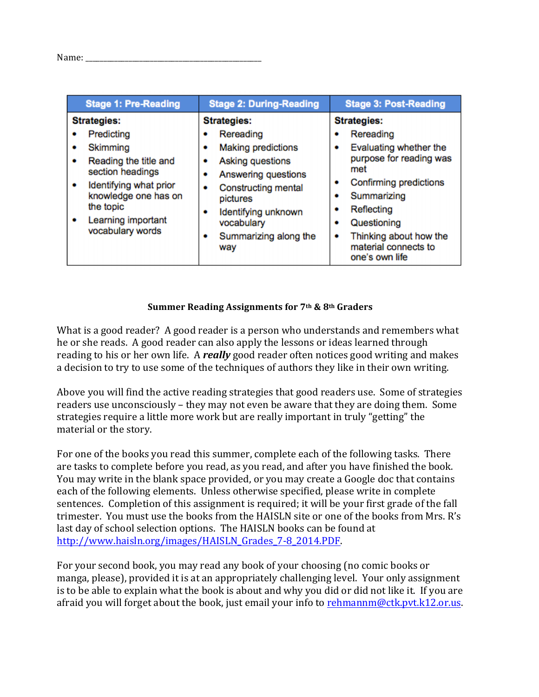| <b>Stage 1: Pre-Reading</b>                                                                                                                                                                                            | <b>Stage 2: During-Reading</b>                                                                                                                                                                                                           | <b>Stage 3: Post-Reading</b>                                                                                                                                                                                                                                             |
|------------------------------------------------------------------------------------------------------------------------------------------------------------------------------------------------------------------------|------------------------------------------------------------------------------------------------------------------------------------------------------------------------------------------------------------------------------------------|--------------------------------------------------------------------------------------------------------------------------------------------------------------------------------------------------------------------------------------------------------------------------|
| <b>Strategies:</b><br>Predicting<br>Skimming<br>۰<br>Reading the title and<br>٠<br>section headings<br>Identifying what prior<br>٠<br>knowledge one has on<br>the topic<br>Learning important<br>٠<br>vocabulary words | <b>Strategies:</b><br>Rereading<br><b>Making predictions</b><br>٠<br>Asking questions<br>۰<br>Answering questions<br>Constructing mental<br>۰<br>pictures<br>Identifying unknown<br>۰<br>vocabulary<br>Summarizing along the<br>۰<br>way | <b>Strategies:</b><br>Rereading<br>۰<br>Evaluating whether the<br>۰<br>purpose for reading was<br>met<br>Confirming predictions<br>٠<br>Summarizing<br>٠<br>Reflecting<br>٠<br>Questioning<br>٠<br>Thinking about how the<br>٠<br>material connects to<br>one's own life |

## **Summer Reading Assignments for 7th & 8th Graders**

What is a good reader? A good reader is a person who understands and remembers what he or she reads. A good reader can also apply the lessons or ideas learned through reading to his or her own life. A *really* good reader often notices good writing and makes a decision to try to use some of the techniques of authors they like in their own writing.

Above you will find the active reading strategies that good readers use. Some of strategies readers use unconsciously – they may not even be aware that they are doing them. Some strategies require a little more work but are really important in truly "getting" the material or the story.

For one of the books you read this summer, complete each of the following tasks. There are tasks to complete before you read, as you read, and after you have finished the book. You may write in the blank space provided, or you may create a Google doc that contains each of the following elements. Unless otherwise specified, please write in complete sentences. Completion of this assignment is required; it will be your first grade of the fall trimester. You must use the books from the HAISLN site or one of the books from Mrs. R's last day of school selection options. The HAISLN books can be found at http://www.haisln.org/images/HAISLN\_Grades\_7-8\_2014.PDF.

For your second book, you may read any book of your choosing (no comic books or manga, please), provided it is at an appropriately challenging level. Your only assignment is to be able to explain what the book is about and why you did or did not like it. If you are afraid you will forget about the book, just email your info to rehmannm@ctk.pvt.k12.or.us.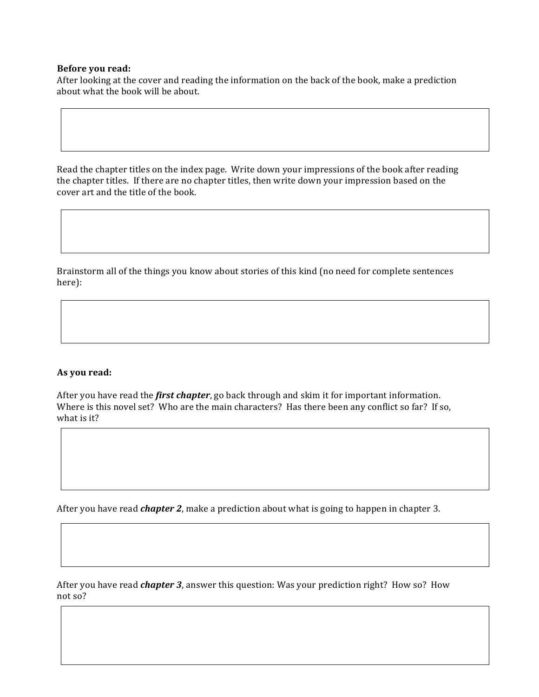## **Before** you read:

After looking at the cover and reading the information on the back of the book, make a prediction about what the book will be about.

Read the chapter titles on the index page. Write down your impressions of the book after reading the chapter titles. If there are no chapter titles, then write down your impression based on the cover art and the title of the book.

Brainstorm all of the things you know about stories of this kind (no need for complete sentences here):

## **As you read:**

After you have read the *first chapter*, go back through and skim it for important information. Where is this novel set? Who are the main characters? Has there been any conflict so far? If so, what is it?

After you have read *chapter* 2, make a prediction about what is going to happen in chapter 3.

After you have read *chapter 3*, answer this question: Was your prediction right? How so? How not so?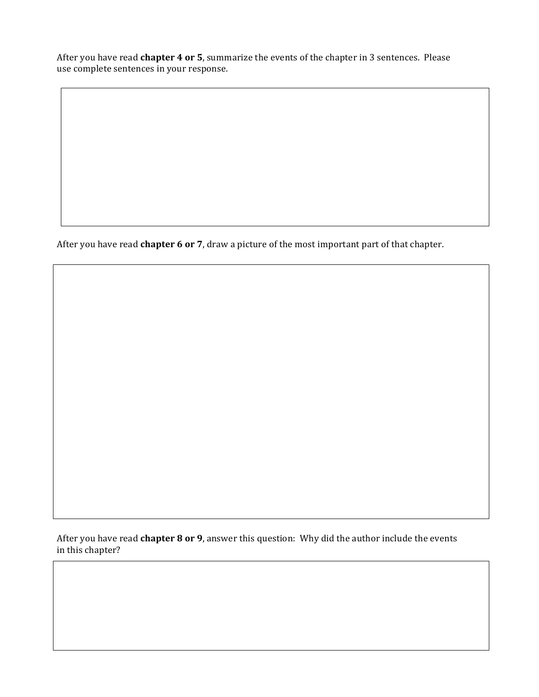After you have read **chapter 4 or 5**, summarize the events of the chapter in 3 sentences. Please use complete sentences in your response.

After you have read **chapter 6 or 7**, draw a picture of the most important part of that chapter.

After you have read **chapter 8 or 9**, answer this question: Why did the author include the events in this chapter?